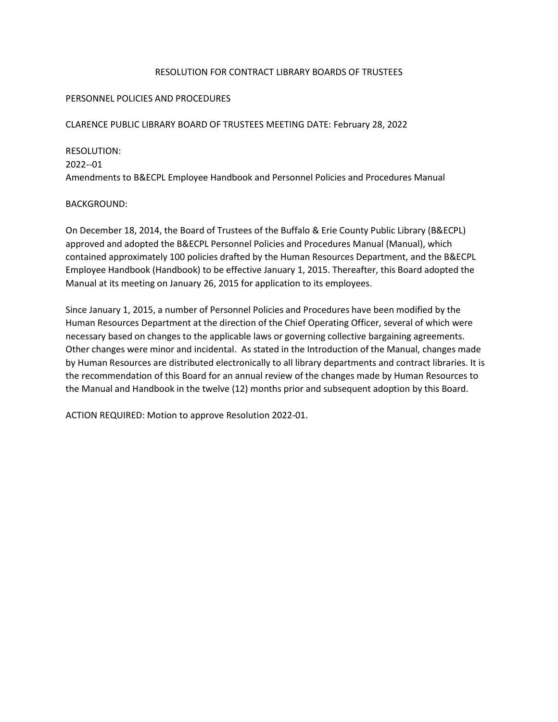# RESOLUTION FOR CONTRACT LIBRARY BOARDS OF TRUSTEES

# PERSONNEL POLICIES AND PROCEDURES

# CLARENCE PUBLIC LIBRARY BOARD OF TRUSTEES MEETING DATE: February 28, 2022

RESOLUTION: 2022--01 Amendments to B&ECPL Employee Handbook and Personnel Policies and Procedures Manual

## BACKGROUND:

On December 18, 2014, the Board of Trustees of the Buffalo & Erie County Public Library (B&ECPL) approved and adopted the B&ECPL Personnel Policies and Procedures Manual (Manual), which contained approximately 100 policies drafted by the Human Resources Department, and the B&ECPL Employee Handbook (Handbook) to be effective January 1, 2015. Thereafter, this Board adopted the Manual at its meeting on January 26, 2015 for application to its employees.

Since January 1, 2015, a number of Personnel Policies and Procedures have been modified by the Human Resources Department at the direction of the Chief Operating Officer, several of which were necessary based on changes to the applicable laws or governing collective bargaining agreements. Other changes were minor and incidental. As stated in the Introduction of the Manual, changes made by Human Resources are distributed electronically to all library departments and contract libraries. It is the recommendation of this Board for an annual review of the changes made by Human Resources to the Manual and Handbook in the twelve (12) months prior and subsequent adoption by this Board.

ACTION REQUIRED: Motion to approve Resolution 2022-01.